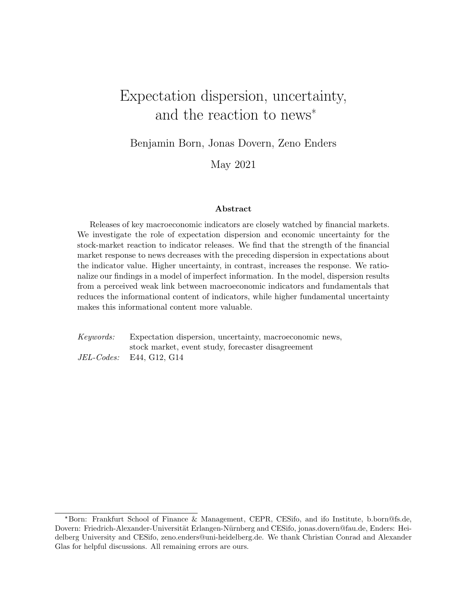# <span id="page-0-0"></span>Expectation dispersion, uncertainty, and the reaction to news\*

Benjamin Born, Jonas Dovern, Zeno Enders

May 2021

#### Abstract

Releases of key macroeconomic indicators are closely watched by financial markets. We investigate the role of expectation dispersion and economic uncertainty for the stock-market reaction to indicator releases. We find that the strength of the financial market response to news decreases with the preceding dispersion in expectations about the indicator value. Higher uncertainty, in contrast, increases the response. We rationalize our findings in a model of imperfect information. In the model, dispersion results from a perceived weak link between macroeconomic indicators and fundamentals that reduces the informational content of indicators, while higher fundamental uncertainty makes this informational content more valuable.

Keywords: Expectation dispersion, uncertainty, macroeconomic news, stock market, event study, forecaster disagreement JEL-Codes: E44, G12, G14

<sup>\*</sup>Born: Frankfurt School of Finance & Management, CEPR, CESifo, and ifo Institute, b.born@fs.de, Dovern: Friedrich-Alexander-Universität Erlangen-Nürnberg and CESifo, jonas.dovern@fau.de, Enders: Heidelberg University and CESifo, zeno.enders@uni-heidelberg.de. We thank Christian Conrad and Alexander Glas for helpful discussions. All remaining errors are ours.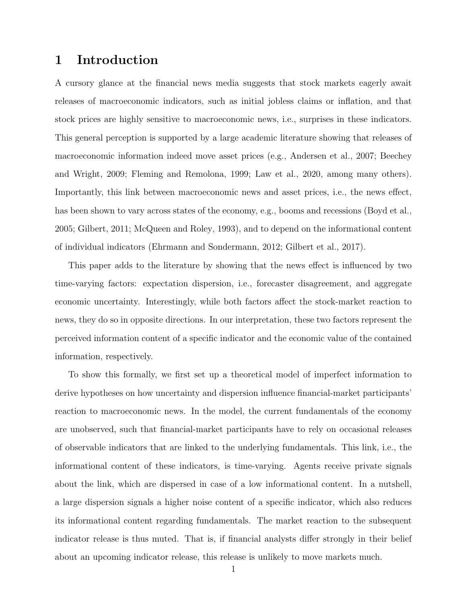### 1 Introduction

A cursory glance at the financial news media suggests that stock markets eagerly await releases of macroeconomic indicators, such as initial jobless claims or inflation, and that stock prices are highly sensitive to macroeconomic news, i.e., surprises in these indicators. This general perception is supported by a large academic literature showing that releases of macroeconomic information indeed move asset prices (e.g., Andersen et al., [2007;](#page-17-0) Beechey and Wright, [2009;](#page-17-1) Fleming and Remolona, [1999;](#page-17-2) Law et al., [2020,](#page-18-0) among many others). Importantly, this link between macroeconomic news and asset prices, i.e., the news effect, has been shown to vary across states of the economy, e.g., booms and recessions (Boyd et al., [2005;](#page-17-3) Gilbert, [2011;](#page-17-4) McQueen and Roley, [1993\)](#page-18-1), and to depend on the informational content of individual indicators (Ehrmann and Sondermann, [2012;](#page-17-5) Gilbert et al., [2017\)](#page-17-6).

This paper adds to the literature by showing that the news effect is influenced by two time-varying factors: expectation dispersion, i.e., forecaster disagreement, and aggregate economic uncertainty. Interestingly, while both factors affect the stock-market reaction to news, they do so in opposite directions. In our interpretation, these two factors represent the perceived information content of a specific indicator and the economic value of the contained information, respectively.

To show this formally, we first set up a theoretical model of imperfect information to derive hypotheses on how uncertainty and dispersion influence financial-market participants' reaction to macroeconomic news. In the model, the current fundamentals of the economy are unobserved, such that financial-market participants have to rely on occasional releases of observable indicators that are linked to the underlying fundamentals. This link, i.e., the informational content of these indicators, is time-varying. Agents receive private signals about the link, which are dispersed in case of a low informational content. In a nutshell, a large dispersion signals a higher noise content of a specific indicator, which also reduces its informational content regarding fundamentals. The market reaction to the subsequent indicator release is thus muted. That is, if financial analysts differ strongly in their belief about an upcoming indicator release, this release is unlikely to move markets much.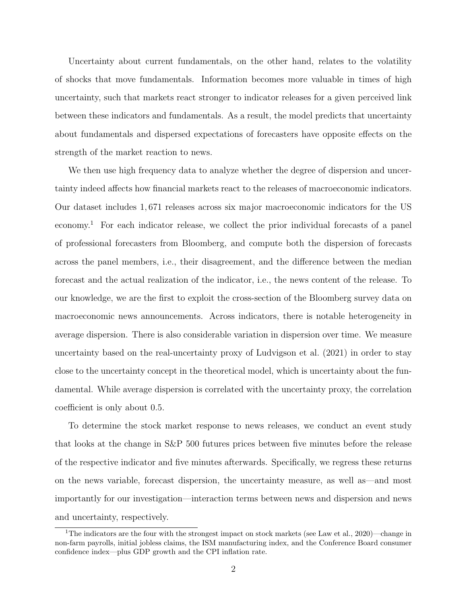Uncertainty about current fundamentals, on the other hand, relates to the volatility of shocks that move fundamentals. Information becomes more valuable in times of high uncertainty, such that markets react stronger to indicator releases for a given perceived link between these indicators and fundamentals. As a result, the model predicts that uncertainty about fundamentals and dispersed expectations of forecasters have opposite effects on the strength of the market reaction to news.

We then use high frequency data to analyze whether the degree of dispersion and uncertainty indeed affects how financial markets react to the releases of macroeconomic indicators. Our dataset includes 1, 671 releases across six major macroeconomic indicators for the US economy.[1](#page-0-0) For each indicator release, we collect the prior individual forecasts of a panel of professional forecasters from Bloomberg, and compute both the dispersion of forecasts across the panel members, i.e., their disagreement, and the difference between the median forecast and the actual realization of the indicator, i.e., the news content of the release. To our knowledge, we are the first to exploit the cross-section of the Bloomberg survey data on macroeconomic news announcements. Across indicators, there is notable heterogeneity in average dispersion. There is also considerable variation in dispersion over time. We measure uncertainty based on the real-uncertainty proxy of Ludvigson et al. [\(2021\)](#page-18-2) in order to stay close to the uncertainty concept in the theoretical model, which is uncertainty about the fundamental. While average dispersion is correlated with the uncertainty proxy, the correlation coefficient is only about 0.5.

To determine the stock market response to news releases, we conduct an event study that looks at the change in S&P 500 futures prices between five minutes before the release of the respective indicator and five minutes afterwards. Specifically, we regress these returns on the news variable, forecast dispersion, the uncertainty measure, as well as—and most importantly for our investigation—interaction terms between news and dispersion and news and uncertainty, respectively.

<sup>&</sup>lt;sup>1</sup>The indicators are the four with the strongest impact on stock markets (see Law et al., [2020\)](#page-18-0)—change in non-farm payrolls, initial jobless claims, the ISM manufacturing index, and the Conference Board consumer confidence index—plus GDP growth and the CPI inflation rate.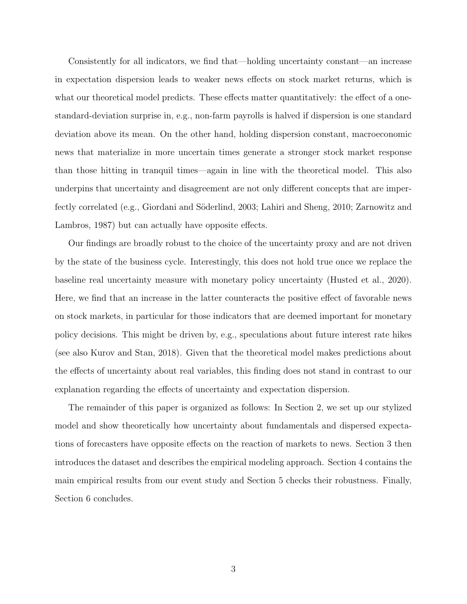Consistently for all indicators, we find that—holding uncertainty constant—an increase in expectation dispersion leads to weaker news effects on stock market returns, which is what our theoretical model predicts. These effects matter quantitatively: the effect of a onestandard-deviation surprise in, e.g., non-farm payrolls is halved if dispersion is one standard deviation above its mean. On the other hand, holding dispersion constant, macroeconomic news that materialize in more uncertain times generate a stronger stock market response than those hitting in tranquil times—again in line with the theoretical model. This also underpins that uncertainty and disagreement are not only different concepts that are imper-fectly correlated (e.g., Giordani and Söderlind, [2003;](#page-17-7) Lahiri and Sheng, [2010;](#page-18-3) Zarnowitz and Lambros, [1987\)](#page-18-4) but can actually have opposite effects.

Our findings are broadly robust to the choice of the uncertainty proxy and are not driven by the state of the business cycle. Interestingly, this does not hold true once we replace the baseline real uncertainty measure with monetary policy uncertainty (Husted et al., [2020\)](#page-17-8). Here, we find that an increase in the latter counteracts the positive effect of favorable news on stock markets, in particular for those indicators that are deemed important for monetary policy decisions. This might be driven by, e.g., speculations about future interest rate hikes (see also Kurov and Stan, [2018\)](#page-18-5). Given that the theoretical model makes predictions about the effects of uncertainty about real variables, this finding does not stand in contrast to our explanation regarding the effects of uncertainty and expectation dispersion.

The remainder of this paper is organized as follows: In Section 2, we set up our stylized model and show theoretically how uncertainty about fundamentals and dispersed expectations of forecasters have opposite effects on the reaction of markets to news. Section 3 then introduces the dataset and describes the empirical modeling approach. Section 4 contains the main empirical results from our event study and Section 5 checks their robustness. Finally, Section 6 concludes.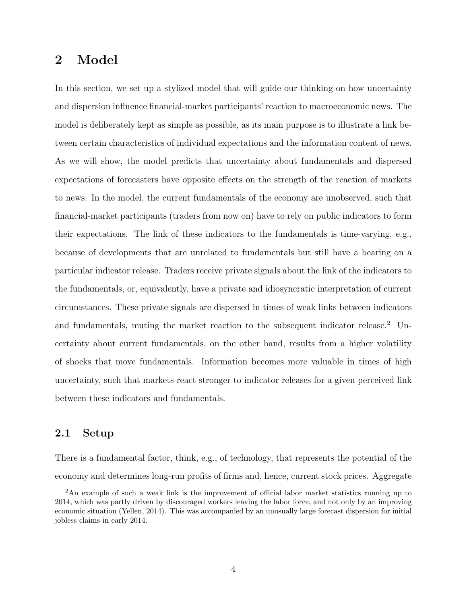### <span id="page-4-0"></span>2 Model

In this section, we set up a stylized model that will guide our thinking on how uncertainty and dispersion influence financial-market participants' reaction to macroeconomic news. The model is deliberately kept as simple as possible, as its main purpose is to illustrate a link between certain characteristics of individual expectations and the information content of news. As we will show, the model predicts that uncertainty about fundamentals and dispersed expectations of forecasters have opposite effects on the strength of the reaction of markets to news. In the model, the current fundamentals of the economy are unobserved, such that financial-market participants (traders from now on) have to rely on public indicators to form their expectations. The link of these indicators to the fundamentals is time-varying, e.g., because of developments that are unrelated to fundamentals but still have a bearing on a particular indicator release. Traders receive private signals about the link of the indicators to the fundamentals, or, equivalently, have a private and idiosyncratic interpretation of current circumstances. These private signals are dispersed in times of weak links between indicators and fundamentals, muting the market reaction to the subsequent indicator release.<sup>[2](#page-0-0)</sup> Uncertainty about current fundamentals, on the other hand, results from a higher volatility of shocks that move fundamentals. Information becomes more valuable in times of high uncertainty, such that markets react stronger to indicator releases for a given perceived link between these indicators and fundamentals.

### 2.1 Setup

There is a fundamental factor, think, e.g., of technology, that represents the potential of the economy and determines long-run profits of firms and, hence, current stock prices. Aggregate

<sup>&</sup>lt;sup>2</sup>An example of such a weak link is the improvement of official labor market statistics running up to 2014, which was partly driven by discouraged workers leaving the labor force, and not only by an improving economic situation (Yellen, [2014\)](#page-18-6). This was accompanied by an unusually large forecast dispersion for initial jobless claims in early 2014.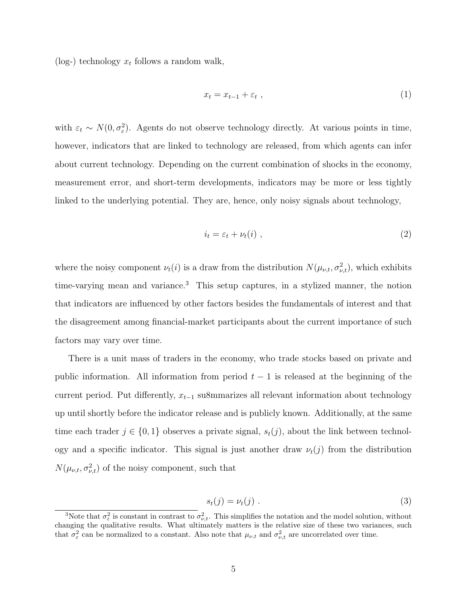(log-) technology  $x_t$  follows a random walk,

$$
x_t = x_{t-1} + \varepsilon_t \t\t(1)
$$

with  $\varepsilon_t \sim N(0, \sigma_{\varepsilon}^2)$ . Agents do not observe technology directly. At various points in time, however, indicators that are linked to technology are released, from which agents can infer about current technology. Depending on the current combination of shocks in the economy, measurement error, and short-term developments, indicators may be more or less tightly linked to the underlying potential. They are, hence, only noisy signals about technology,

$$
i_t = \varepsilon_t + \nu_t(i) \tag{2}
$$

where the noisy component  $\nu_t(i)$  is a draw from the distribution  $N(\mu_{\nu,t}, \sigma_{\nu,t}^2)$ , which exhibits time-varying mean and variance.<sup>[3](#page-0-0)</sup> This setup captures, in a stylized manner, the notion that indicators are influenced by other factors besides the fundamentals of interest and that the disagreement among financial-market participants about the current importance of such factors may vary over time.

There is a unit mass of traders in the economy, who trade stocks based on private and public information. All information from period  $t - 1$  is released at the beginning of the current period. Put differently,  $x_{t-1}$  su8mmarizes all relevant information about technology up until shortly before the indicator release and is publicly known. Additionally, at the same time each trader  $j \in \{0,1\}$  observes a private signal,  $s_t(j)$ , about the link between technology and a specific indicator. This signal is just another draw  $\nu_t(j)$  from the distribution  $N(\mu_{\nu,t}, \sigma_{\nu,t}^2)$  of the noisy component, such that

$$
s_t(j) = \nu_t(j) \tag{3}
$$

<sup>&</sup>lt;sup>3</sup>Note that  $\sigma_{\varepsilon}^2$  is constant in contrast to  $\sigma_{\nu,t}^2$ . This simplifies the notation and the model solution, without changing the qualitative results. What ultimately matters is the relative size of these two variances, such that  $\sigma_{\varepsilon}^2$  can be normalized to a constant. Also note that  $\mu_{\nu,t}$  and  $\sigma_{\nu,t}^2$  are uncorrelated over time.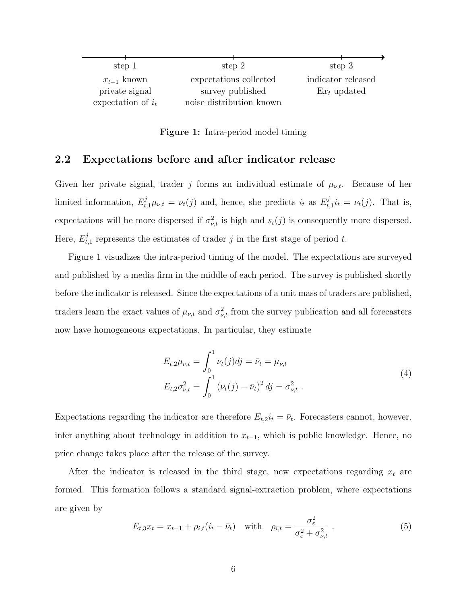<span id="page-6-0"></span>

| step 1               | step 2                   | step 3             |
|----------------------|--------------------------|--------------------|
| $x_{t-1}$ known      | expectations collected   | indicator released |
| private signal       | survey published         | $Ex_t$ updated     |
| expectation of $i_t$ | noise distribution known |                    |

Figure 1: Intra-period model timing

#### 2.2 Expectations before and after indicator release

Given her private signal, trader j forms an individual estimate of  $\mu_{\nu,t}$ . Because of her limited information,  $E_{t,1}^{j} \mu_{\nu,t} = \nu_t(j)$  and, hence, she predicts  $i_t$  as  $E_t^{j}$  $u_{t,1}^j i_t = \nu_t(j)$ . That is, expectations will be more dispersed if  $\sigma_{\nu,t}^2$  is high and  $s_t(j)$  is consequently more dispersed. Here,  $E_t^j$  $t_{t,1}$  represents the estimates of trader j in the first stage of period t.

Figure [1](#page-6-0) visualizes the intra-period timing of the model. The expectations are surveyed and published by a media firm in the middle of each period. The survey is published shortly before the indicator is released. Since the expectations of a unit mass of traders are published, traders learn the exact values of  $\mu_{\nu,t}$  and  $\sigma_{\nu,t}^2$  from the survey publication and all forecasters now have homogeneous expectations. In particular, they estimate

$$
E_{t,2}\mu_{\nu,t} = \int_0^1 \nu_t(j)dj = \bar{\nu}_t = \mu_{\nu,t}
$$
  
\n
$$
E_{t,2}\sigma_{\nu,t}^2 = \int_0^1 (\nu_t(j) - \bar{\nu}_t)^2 dj = \sigma_{\nu,t}^2.
$$
\n(4)

Expectations regarding the indicator are therefore  $E_{t,2}i_t = \bar{\nu}_t$ . Forecasters cannot, however, infer anything about technology in addition to  $x_{t-1}$ , which is public knowledge. Hence, no price change takes place after the release of the survey.

After the indicator is released in the third stage, new expectations regarding  $x_t$  are formed. This formation follows a standard signal-extraction problem, where expectations are given by

$$
E_{t,3}x_t = x_{t-1} + \rho_{i,t}(i_t - \bar{\nu}_t) \quad \text{with} \quad \rho_{i,t} = \frac{\sigma_{\varepsilon}^2}{\sigma_{\varepsilon}^2 + \sigma_{\nu,t}^2} \tag{5}
$$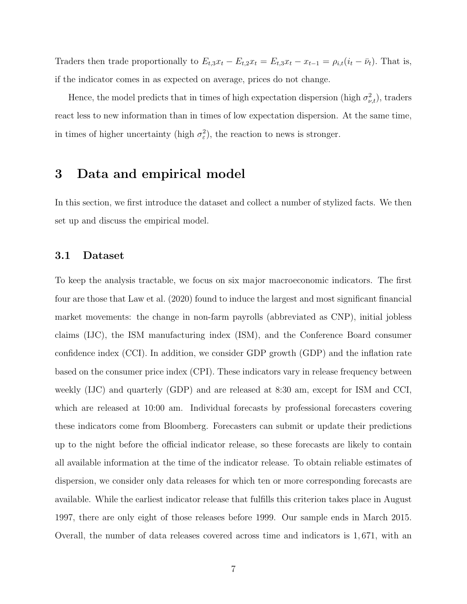Traders then trade proportionally to  $E_{t,3}x_t - E_{t,2}x_t = E_{t,3}x_t - x_{t-1} = \rho_{i,t}(i_t - \bar{\nu}_t)$ . That is, if the indicator comes in as expected on average, prices do not change.

Hence, the model predicts that in times of high expectation dispersion (high  $\sigma_{\nu,t}^2$ ), traders react less to new information than in times of low expectation dispersion. At the same time, in times of higher uncertainty (high  $\sigma_{\varepsilon}^2$ ), the reaction to news is stronger.

### 3 Data and empirical model

In this section, we first introduce the dataset and collect a number of stylized facts. We then set up and discuss the empirical model.

#### 3.1 Dataset

To keep the analysis tractable, we focus on six major macroeconomic indicators. The first four are those that Law et al. [\(2020\)](#page-18-0) found to induce the largest and most significant financial market movements: the change in non-farm payrolls (abbreviated as CNP), initial jobless claims (IJC), the ISM manufacturing index (ISM), and the Conference Board consumer confidence index (CCI). In addition, we consider GDP growth (GDP) and the inflation rate based on the consumer price index (CPI). These indicators vary in release frequency between weekly (IJC) and quarterly (GDP) and are released at 8:30 am, except for ISM and CCI, which are released at 10:00 am. Individual forecasts by professional forecasters covering these indicators come from Bloomberg. Forecasters can submit or update their predictions up to the night before the official indicator release, so these forecasts are likely to contain all available information at the time of the indicator release. To obtain reliable estimates of dispersion, we consider only data releases for which ten or more corresponding forecasts are available. While the earliest indicator release that fulfills this criterion takes place in August 1997, there are only eight of those releases before 1999. Our sample ends in March 2015. Overall, the number of data releases covered across time and indicators is 1, 671, with an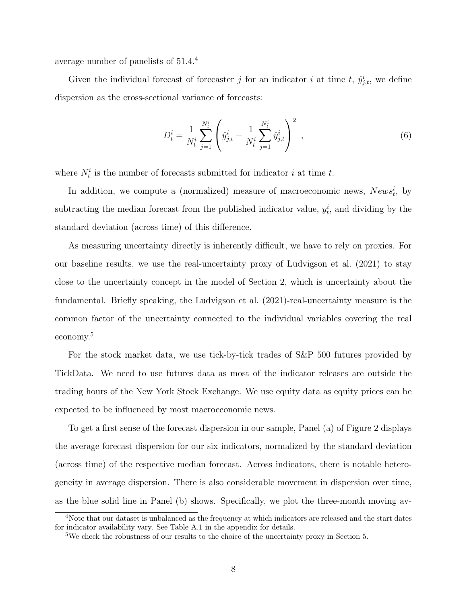average number of panelists of 51.4.[4](#page-0-0)

Given the individual forecast of forecaster j for an indicator i at time t,  $\hat{y}^i_{j,t}$ , we define dispersion as the cross-sectional variance of forecasts:

$$
D_t^i = \frac{1}{N_t^i} \sum_{j=1}^{N_t^i} \left( \hat{y}_{j,t}^i - \frac{1}{N_t^i} \sum_{j=1}^{N_t^i} \hat{y}_{j,t}^i \right)^2 , \qquad (6)
$$

where  $N_t^i$  is the number of forecasts submitted for indicator i at time t.

In addition, we compute a (normalized) measure of macroeconomic news,  $News<sup>i</sup><sub>t</sub>$ , by subtracting the median forecast from the published indicator value,  $y_t^i$ , and dividing by the standard deviation (across time) of this difference.

As measuring uncertainty directly is inherently difficult, we have to rely on proxies. For our baseline results, we use the real-uncertainty proxy of Ludvigson et al. [\(2021\)](#page-18-2) to stay close to the uncertainty concept in the model of Section [2,](#page-4-0) which is uncertainty about the fundamental. Briefly speaking, the Ludvigson et al. [\(2021\)](#page-18-2)-real-uncertainty measure is the common factor of the uncertainty connected to the individual variables covering the real economy.[5](#page-0-0)

For the stock market data, we use tick-by-tick trades of S&P 500 futures provided by TickData. We need to use futures data as most of the indicator releases are outside the trading hours of the New York Stock Exchange. We use equity data as equity prices can be expected to be influenced by most macroeconomic news.

To get a first sense of the forecast dispersion in our sample, Panel (a) of Figure [2](#page-9-0) displays the average forecast dispersion for our six indicators, normalized by the standard deviation (across time) of the respective median forecast. Across indicators, there is notable heterogeneity in average dispersion. There is also considerable movement in dispersion over time, as the blue solid line in Panel (b) shows. Specifically, we plot the three-month moving av-

<sup>&</sup>lt;sup>4</sup>Note that our dataset is unbalanced as the frequency at which indicators are released and the start dates for indicator availability vary. See Table [A.1](#page-0-0) in the appendix for details.

<sup>5</sup>We check the robustness of our results to the choice of the uncertainty proxy in Section [5.](#page-13-0)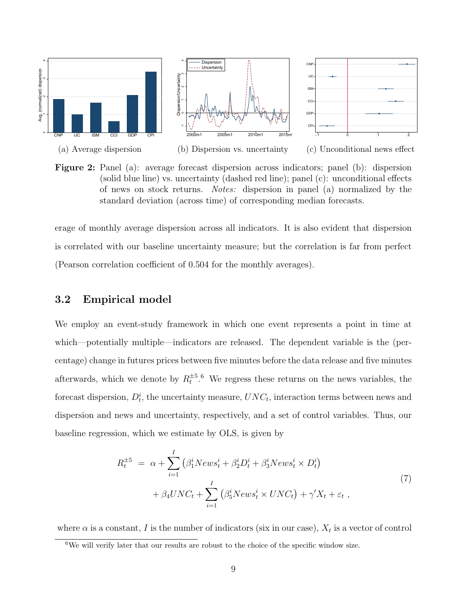<span id="page-9-0"></span>

Figure 2: Panel (a): average forecast dispersion across indicators; panel (b): dispersion (solid blue line) vs. uncertainty (dashed red line); panel (c): unconditional effects of news on stock returns. Notes: dispersion in panel (a) normalized by the standard deviation (across time) of corresponding median forecasts.

erage of monthly average dispersion across all indicators. It is also evident that dispersion is correlated with our baseline uncertainty measure; but the correlation is far from perfect (Pearson correlation coefficient of 0.504 for the monthly averages).

#### 3.2 Empirical model

We employ an event-study framework in which one event represents a point in time at which—potentially multiple—indicators are released. The dependent variable is the (percentage) change in futures prices between five minutes before the data release and five minutes afterwards, which we denote by  $R_t^{\pm 5.6}$  $R_t^{\pm 5.6}$  $R_t^{\pm 5.6}$  We regress these returns on the news variables, the forecast dispersion,  $D_t^i$ , the uncertainty measure,  $UNC_t$ , interaction terms between news and dispersion and news and uncertainty, respectively, and a set of control variables. Thus, our baseline regression, which we estimate by OLS, is given by

<span id="page-9-1"></span>
$$
R_t^{\pm 5} = \alpha + \sum_{i=1}^I \left( \beta_1^i News_t^i + \beta_2^i D_t^i + \beta_3^i News_t^i \times D_t^i \right) + \beta_4 UNC_t + \sum_{i=1}^I \left( \beta_5^i News_t^i \times UNC_t \right) + \gamma' X_t + \varepsilon_t ,
$$
\n
$$
(7)
$$

where  $\alpha$  is a constant, I is the number of indicators (six in our case),  $X_t$  is a vector of control

 $6$ We will verify later that our results are robust to the choice of the specific window size.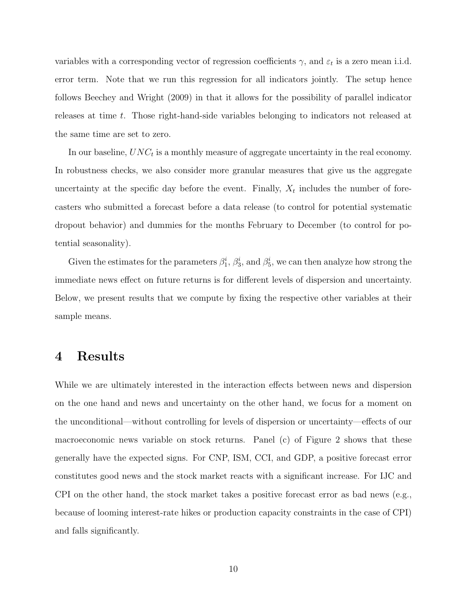variables with a corresponding vector of regression coefficients  $\gamma$ , and  $\varepsilon_t$  is a zero mean i.i.d. error term. Note that we run this regression for all indicators jointly. The setup hence follows Beechey and Wright [\(2009\)](#page-17-1) in that it allows for the possibility of parallel indicator releases at time t. Those right-hand-side variables belonging to indicators not released at the same time are set to zero.

In our baseline,  $UNC_t$  is a monthly measure of aggregate uncertainty in the real economy. In robustness checks, we also consider more granular measures that give us the aggregate uncertainty at the specific day before the event. Finally,  $X_t$  includes the number of forecasters who submitted a forecast before a data release (to control for potential systematic dropout behavior) and dummies for the months February to December (to control for potential seasonality).

Given the estimates for the parameters  $\beta_1^i$ ,  $\beta_3^i$ , and  $\beta_5^i$ , we can then analyze how strong the immediate news effect on future returns is for different levels of dispersion and uncertainty. Below, we present results that we compute by fixing the respective other variables at their sample means.

### 4 Results

While we are ultimately interested in the interaction effects between news and dispersion on the one hand and news and uncertainty on the other hand, we focus for a moment on the unconditional—without controlling for levels of dispersion or uncertainty—effects of our macroeconomic news variable on stock returns. Panel (c) of Figure [2](#page-9-0) shows that these generally have the expected signs. For CNP, ISM, CCI, and GDP, a positive forecast error constitutes good news and the stock market reacts with a significant increase. For IJC and CPI on the other hand, the stock market takes a positive forecast error as bad news (e.g., because of looming interest-rate hikes or production capacity constraints in the case of CPI) and falls significantly.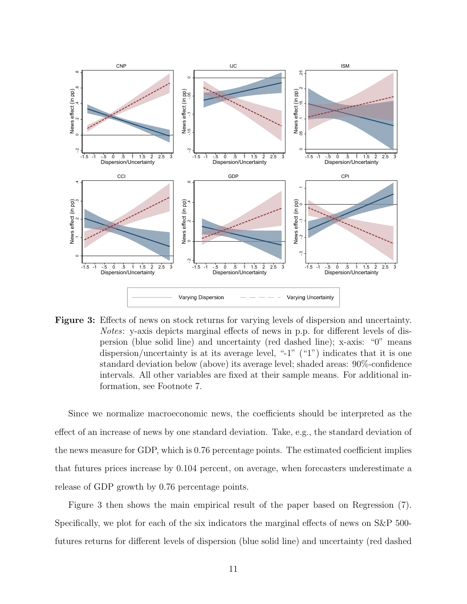<span id="page-11-0"></span>

Figure 3: Effects of news on stock returns for varying levels of dispersion and uncertainty. Notes: y-axis depicts marginal effects of news in p.p. for different levels of dispersion (blue solid line) and uncertainty (red dashed line); x-axis: "0" means dispersion/uncertainty is at its average level, "-1" ("1") indicates that it is one standard deviation below (above) its average level; shaded areas: 90%-confidence intervals. All other variables are fixed at their sample means. For additional information, see Footnote [7.](#page-11-0)

Since we normalize macroeconomic news, the coefficients should be interpreted as the effect of an increase of news by one standard deviation. Take, e.g., the standard deviation of the news measure for GDP, which is 0.76 percentage points. The estimated coefficient implies that futures prices increase by 0.104 percent, on average, when forecasters underestimate a release of GDP growth by 0.76 percentage points.

Figure [3](#page-11-0) then shows the main empirical result of the paper based on Regression [\(7\)](#page-9-1). Specifically, we plot for each of the six indicators the marginal effects of news on S&P 500 futures returns for different levels of dispersion (blue solid line) and uncertainty (red dashed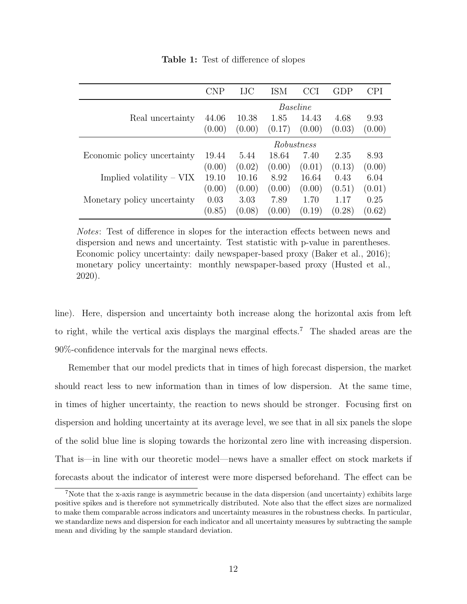<span id="page-12-0"></span>

|                             | CNP        | IJC    | ISM    | CCI    | GDP    | CPI    |  |
|-----------------------------|------------|--------|--------|--------|--------|--------|--|
|                             | Baseline   |        |        |        |        |        |  |
| Real uncertainty            | 44.06      | 10.38  | 1.85   | 14.43  | 4.68   | 9.93   |  |
|                             | (0.00)     | (0.00) | (0.17) | (0.00) | (0.03) | (0.00) |  |
|                             | Robustness |        |        |        |        |        |  |
| Economic policy uncertainty | 19.44      | 5.44   | 18.64  | 7.40   | 2.35   | 8.93   |  |
|                             | (0.00)     | (0.02) | (0.00) | (0.01) | (0.13) | (0.00) |  |
| Implied volatility $-VIX$   | 19.10      | 10.16  | 8.92   | 16.64  | 0.43   | 6.04   |  |
|                             | (0.00)     | (0.00) | (0.00) | (0.00) | (0.51) | (0.01) |  |
| Monetary policy uncertainty | 0.03       | 3.03   | 7.89   | 1.70   | 1.17   | 0.25   |  |
|                             | (0.85)     | (0.08) | (0.00) | (0.19) | (0.28) | (0.62) |  |

Table 1: Test of difference of slopes

Notes: Test of difference in slopes for the interaction effects between news and dispersion and news and uncertainty. Test statistic with p-value in parentheses. Economic policy uncertainty: daily newspaper-based proxy (Baker et al., [2016\)](#page-17-9); monetary policy uncertainty: monthly newspaper-based proxy (Husted et al., [2020\)](#page-17-8).

line). Here, dispersion and uncertainty both increase along the horizontal axis from left to right, while the vertical axis displays the marginal effects.[7](#page-0-0) The shaded areas are the 90%-confidence intervals for the marginal news effects.

Remember that our model predicts that in times of high forecast dispersion, the market should react less to new information than in times of low dispersion. At the same time, in times of higher uncertainty, the reaction to news should be stronger. Focusing first on dispersion and holding uncertainty at its average level, we see that in all six panels the slope of the solid blue line is sloping towards the horizontal zero line with increasing dispersion. That is—in line with our theoretic model—news have a smaller effect on stock markets if forecasts about the indicator of interest were more dispersed beforehand. The effect can be

<sup>7</sup>Note that the x-axis range is asymmetric because in the data dispersion (and uncertainty) exhibits large positive spikes and is therefore not symmetrically distributed. Note also that the effect sizes are normalized to make them comparable across indicators and uncertainty measures in the robustness checks. In particular, we standardize news and dispersion for each indicator and all uncertainty measures by subtracting the sample mean and dividing by the sample standard deviation.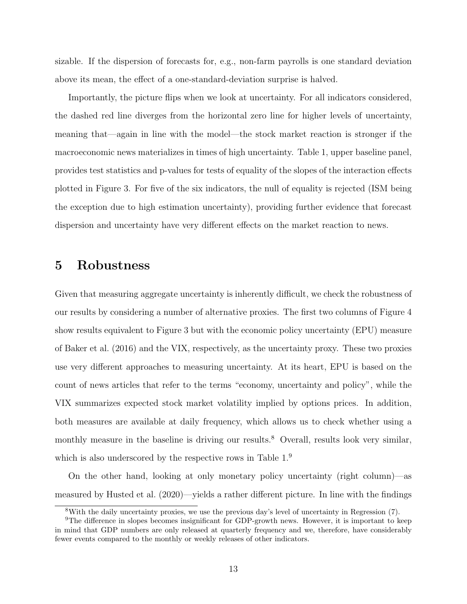sizable. If the dispersion of forecasts for, e.g., non-farm payrolls is one standard deviation above its mean, the effect of a one-standard-deviation surprise is halved.

Importantly, the picture flips when we look at uncertainty. For all indicators considered, the dashed red line diverges from the horizontal zero line for higher levels of uncertainty, meaning that—again in line with the model—the stock market reaction is stronger if the macroeconomic news materializes in times of high uncertainty. Table [1,](#page-12-0) upper baseline panel, provides test statistics and p-values for tests of equality of the slopes of the interaction effects plotted in Figure [3.](#page-11-0) For five of the six indicators, the null of equality is rejected (ISM being the exception due to high estimation uncertainty), providing further evidence that forecast dispersion and uncertainty have very different effects on the market reaction to news.

### <span id="page-13-0"></span>5 Robustness

Given that measuring aggregate uncertainty is inherently difficult, we check the robustness of our results by considering a number of alternative proxies. The first two columns of Figure [4](#page-15-0) show results equivalent to Figure [3](#page-11-0) but with the economic policy uncertainty (EPU) measure of Baker et al. [\(2016\)](#page-17-9) and the VIX, respectively, as the uncertainty proxy. These two proxies use very different approaches to measuring uncertainty. At its heart, EPU is based on the count of news articles that refer to the terms "economy, uncertainty and policy", while the VIX summarizes expected stock market volatility implied by options prices. In addition, both measures are available at daily frequency, which allows us to check whether using a monthly measure in the baseline is driving our results.<sup>[8](#page-0-0)</sup> Overall, results look very similar, which is also underscored by the respective rows in Table  $1<sup>9</sup>$  $1<sup>9</sup>$  $1<sup>9</sup>$ 

On the other hand, looking at only monetary policy uncertainty (right column)—as measured by Husted et al. [\(2020\)](#page-17-8)—yields a rather different picture. In line with the findings

<sup>8</sup>With the daily uncertainty proxies, we use the previous day's level of uncertainty in Regression [\(7\)](#page-9-1).

<sup>&</sup>lt;sup>9</sup>The difference in slopes becomes insignificant for GDP-growth news. However, it is important to keep in mind that GDP numbers are only released at quarterly frequency and we, therefore, have considerably fewer events compared to the monthly or weekly releases of other indicators.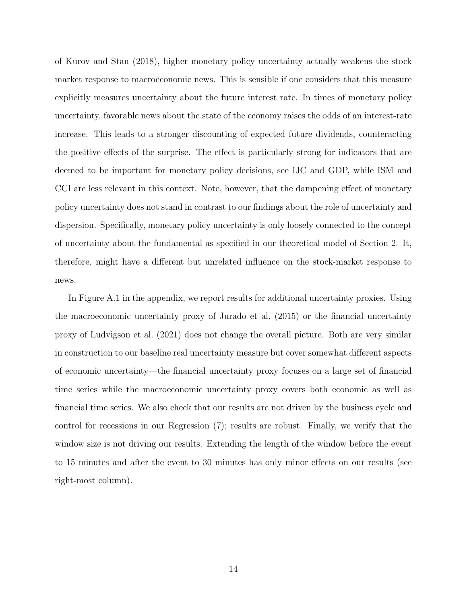of Kurov and Stan [\(2018\)](#page-18-5), higher monetary policy uncertainty actually weakens the stock market response to macroeconomic news. This is sensible if one considers that this measure explicitly measures uncertainty about the future interest rate. In times of monetary policy uncertainty, favorable news about the state of the economy raises the odds of an interest-rate increase. This leads to a stronger discounting of expected future dividends, counteracting the positive effects of the surprise. The effect is particularly strong for indicators that are deemed to be important for monetary policy decisions, see IJC and GDP, while ISM and CCI are less relevant in this context. Note, however, that the dampening effect of monetary policy uncertainty does not stand in contrast to our findings about the role of uncertainty and dispersion. Specifically, monetary policy uncertainty is only loosely connected to the concept of uncertainty about the fundamental as specified in our theoretical model of Section [2.](#page-4-0) It, therefore, might have a different but unrelated influence on the stock-market response to news.

In Figure [A.1](#page-0-0) in the appendix, we report results for additional uncertainty proxies. Using the macroeconomic uncertainty proxy of Jurado et al. [\(2015\)](#page-18-7) or the financial uncertainty proxy of Ludvigson et al. [\(2021\)](#page-18-2) does not change the overall picture. Both are very similar in construction to our baseline real uncertainty measure but cover somewhat different aspects of economic uncertainty—the financial uncertainty proxy focuses on a large set of financial time series while the macroeconomic uncertainty proxy covers both economic as well as financial time series. We also check that our results are not driven by the business cycle and control for recessions in our Regression [\(7\)](#page-9-1); results are robust. Finally, we verify that the window size is not driving our results. Extending the length of the window before the event to 15 minutes and after the event to 30 minutes has only minor effects on our results (see right-most column).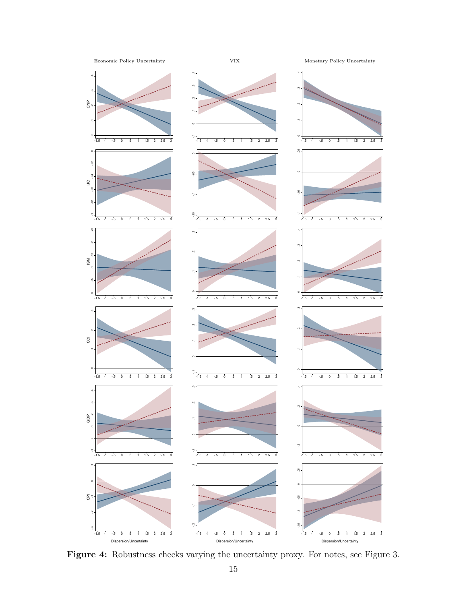<span id="page-15-0"></span>

Figure 4: Robustness checks varying the uncertainty proxy. For notes, see Figure [3.](#page-11-0)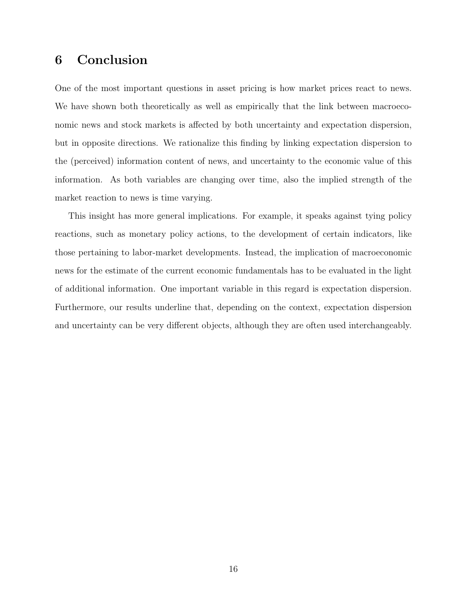### 6 Conclusion

One of the most important questions in asset pricing is how market prices react to news. We have shown both theoretically as well as empirically that the link between macroeconomic news and stock markets is affected by both uncertainty and expectation dispersion, but in opposite directions. We rationalize this finding by linking expectation dispersion to the (perceived) information content of news, and uncertainty to the economic value of this information. As both variables are changing over time, also the implied strength of the market reaction to news is time varying.

This insight has more general implications. For example, it speaks against tying policy reactions, such as monetary policy actions, to the development of certain indicators, like those pertaining to labor-market developments. Instead, the implication of macroeconomic news for the estimate of the current economic fundamentals has to be evaluated in the light of additional information. One important variable in this regard is expectation dispersion. Furthermore, our results underline that, depending on the context, expectation dispersion and uncertainty can be very different objects, although they are often used interchangeably.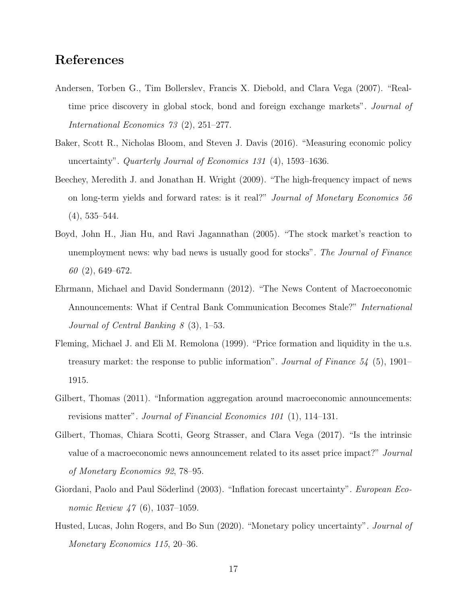## References

- <span id="page-17-0"></span>Andersen, Torben G., Tim Bollerslev, Francis X. Diebold, and Clara Vega (2007). "Realtime price discovery in global stock, bond and foreign exchange markets". Journal of International Economics 73 (2), 251–277.
- <span id="page-17-9"></span>Baker, Scott R., Nicholas Bloom, and Steven J. Davis (2016). "Measuring economic policy uncertainty". Quarterly Journal of Economics 131 (4), 1593–1636.
- <span id="page-17-1"></span>Beechey, Meredith J. and Jonathan H. Wright (2009). "The high-frequency impact of news on long-term yields and forward rates: is it real?" Journal of Monetary Economics 56 (4), 535–544.
- <span id="page-17-3"></span>Boyd, John H., Jian Hu, and Ravi Jagannathan (2005). "The stock market's reaction to unemployment news: why bad news is usually good for stocks". The Journal of Finance 60 (2), 649–672.
- <span id="page-17-5"></span>Ehrmann, Michael and David Sondermann (2012). "The News Content of Macroeconomic Announcements: What if Central Bank Communication Becomes Stale?" International Journal of Central Banking 8 (3), 1–53.
- <span id="page-17-2"></span>Fleming, Michael J. and Eli M. Remolona (1999). "Price formation and liquidity in the u.s. treasury market: the response to public information". Journal of Finance 54 (5), 1901– 1915.
- <span id="page-17-4"></span>Gilbert, Thomas (2011). "Information aggregation around macroeconomic announcements: revisions matter". Journal of Financial Economics 101  $(1)$ , 114–131.
- <span id="page-17-6"></span>Gilbert, Thomas, Chiara Scotti, Georg Strasser, and Clara Vega (2017). "Is the intrinsic value of a macroeconomic news announcement related to its asset price impact?" Journal of Monetary Economics 92, 78–95.
- <span id="page-17-7"></span>Giordani, Paolo and Paul Söderlind (2003). "Inflation forecast uncertainty". European Economic Review 47 (6), 1037–1059.
- <span id="page-17-8"></span>Husted, Lucas, John Rogers, and Bo Sun (2020). "Monetary policy uncertainty". Journal of Monetary Economics 115, 20–36.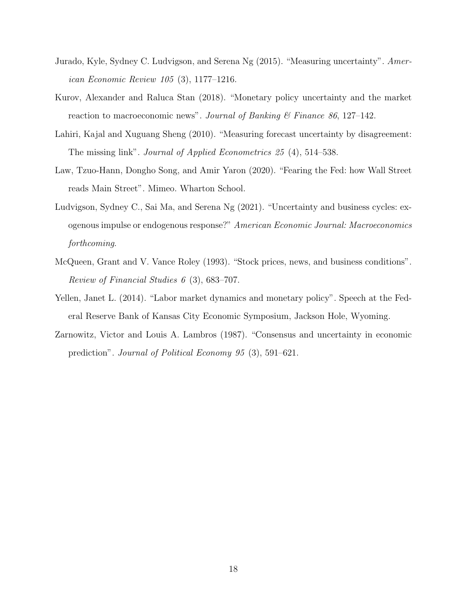- <span id="page-18-7"></span>Jurado, Kyle, Sydney C. Ludvigson, and Serena Ng (2015). "Measuring uncertainty". American Economic Review 105 (3), 1177–1216.
- <span id="page-18-5"></span>Kurov, Alexander and Raluca Stan (2018). "Monetary policy uncertainty and the market reaction to macroeconomic news". Journal of Banking  $\mathcal C$  Finance 86, 127–142.
- <span id="page-18-3"></span>Lahiri, Kajal and Xuguang Sheng (2010). "Measuring forecast uncertainty by disagreement: The missing link". Journal of Applied Econometrics 25 (4), 514–538.
- <span id="page-18-0"></span>Law, Tzuo-Hann, Dongho Song, and Amir Yaron (2020). "Fearing the Fed: how Wall Street reads Main Street". Mimeo. Wharton School.
- <span id="page-18-2"></span>Ludvigson, Sydney C., Sai Ma, and Serena Ng (2021). "Uncertainty and business cycles: exogenous impulse or endogenous response?" American Economic Journal: Macroeconomics forthcoming.
- <span id="page-18-1"></span>McQueen, Grant and V. Vance Roley (1993). "Stock prices, news, and business conditions". Review of Financial Studies 6 (3), 683–707.
- <span id="page-18-6"></span>Yellen, Janet L. (2014). "Labor market dynamics and monetary policy". Speech at the Federal Reserve Bank of Kansas City Economic Symposium, Jackson Hole, Wyoming.
- <span id="page-18-4"></span>Zarnowitz, Victor and Louis A. Lambros (1987). "Consensus and uncertainty in economic prediction". Journal of Political Economy 95 (3), 591–621.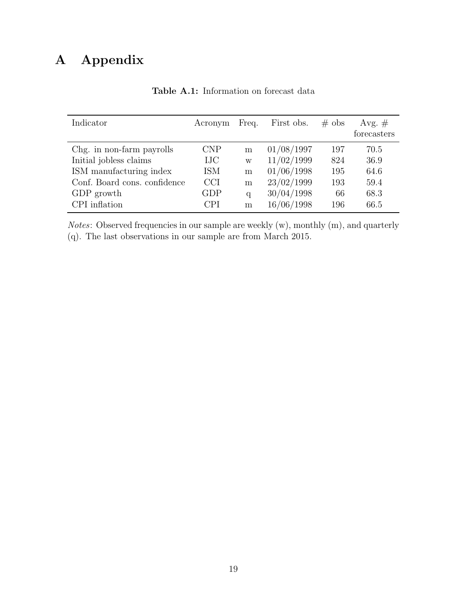## A Appendix

| Indicator                    | Acronym    | Freq. | First obs. | $\#$ obs | Avg. $#$<br>forecasters |
|------------------------------|------------|-------|------------|----------|-------------------------|
| Chg. in non-farm payrolls    | <b>CNP</b> | m     | 01/08/1997 | 197      | 70.5                    |
| Initial jobless claims       | <b>IJC</b> | W     | 11/02/1999 | 824      | 36.9                    |
| ISM manufacturing index      | <b>ISM</b> | m     | 01/06/1998 | 195      | 64.6                    |
| Conf. Board cons. confidence | <b>CCI</b> | m     | 23/02/1999 | 193      | 59.4                    |
| GDP growth                   | GDP        | q     | 30/04/1998 | 66       | 68.3                    |
| CPI inflation                | <b>CPI</b> | m     | 16/06/1998 | 196      | 66.5                    |

Table A.1: Information on forecast data

Notes: Observed frequencies in our sample are weekly (w), monthly (m), and quarterly (q). The last observations in our sample are from March 2015.